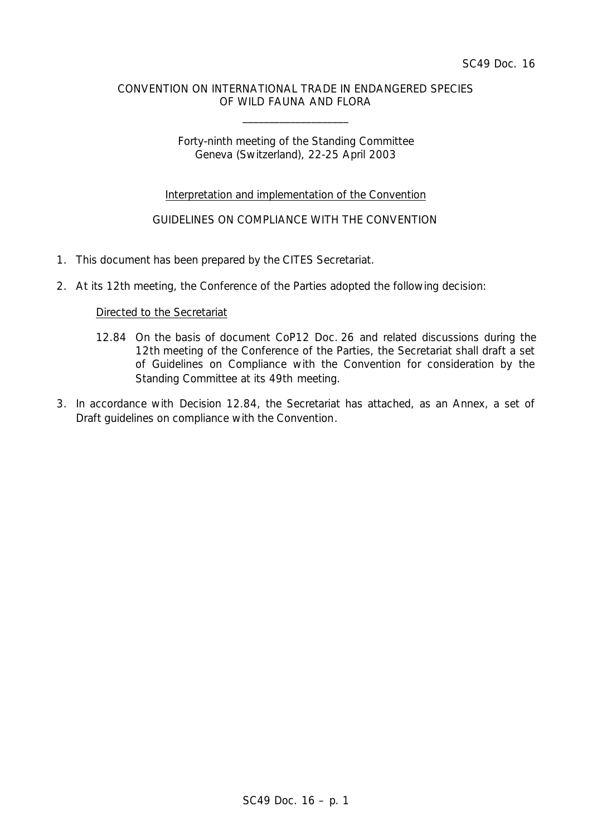### CONVENTION ON INTERNATIONAL TRADE IN ENDANGERED SPECIES OF WILD FAUNA AND FLORA

\_\_\_\_\_\_\_\_\_\_\_\_\_\_\_\_\_\_\_\_

## Forty-ninth meeting of the Standing Committee Geneva (Switzerland), 22-25 April 2003

## Interpretation and implementation of the Convention

# GUIDELINES ON COMPLIANCE WITH THE CONVENTION

- 1. This document has been prepared by the CITES Secretariat.
- 2. At its 12th meeting, the Conference of the Parties adopted the following decision:

### *Directed to the Secretariat*

- *12.84 On the basis of document CoP12 Doc. 26 and related discussions during the 12th meeting of the Conference of the Parties, the Secretariat shall draft a set of Guidelines on Compliance with the Convention for consideration by the Standing Committee at its 49th meeting.*
- 3. In accordance with Decision 12.84, the Secretariat has attached, as an Annex, a set of *Draft guidelines on compliance with the Convention*.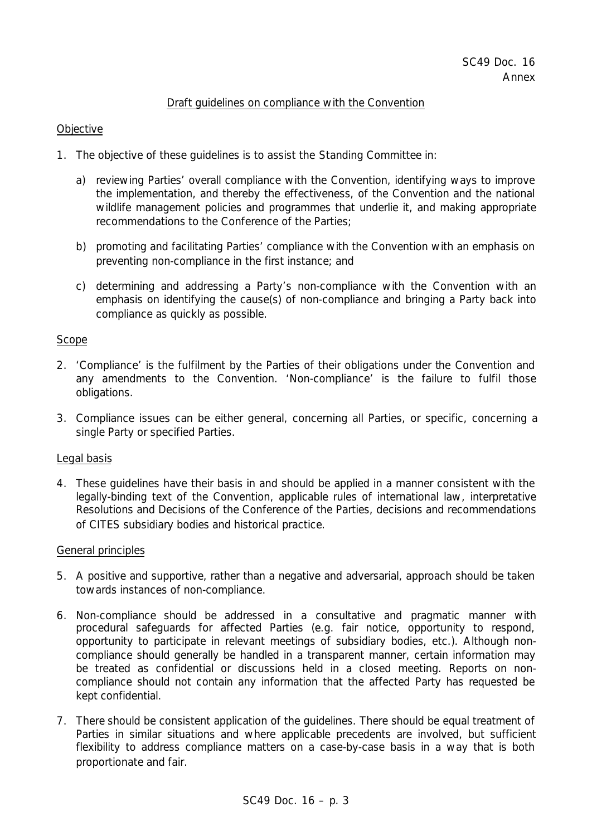#### Draft guidelines on compliance with the Convention

#### **Objective**

- 1. The objective of these guidelines is to assist the Standing Committee in:
	- a) reviewing Parties' overall compliance with the Convention, identifying ways to improve the implementation, and thereby the effectiveness, of the Convention and the national wildlife management policies and programmes that underlie it, and making appropriate recommendations to the Conference of the Parties;
	- b) promoting and facilitating Parties' compliance with the Convention with an emphasis on preventing non-compliance in the first instance; and
	- c) determining and addressing a Party's non-compliance with the Convention with an emphasis on identifying the cause(s) of non-compliance and bringing a Party back into compliance as quickly as possible.

#### Scope

- 2. 'Compliance' is the fulfilment by the Parties of their obligations under the Convention and any amendments to the Convention. 'Non-compliance' is the failure to fulfil those obligations.
- 3. Compliance issues can be either general, concerning all Parties, or specific, concerning a single Party or specified Parties.

### Legal basis

4. These guidelines have their basis in and should be applied in a manner consistent with the legally-binding text of the Convention, applicable rules of international law, interpretative Resolutions and Decisions of the Conference of the Parties, decisions and recommendations of CITES subsidiary bodies and historical practice.

#### General principles

- 5. A positive and supportive, rather than a negative and adversarial, approach should be taken towards instances of non-compliance.
- 6. Non-compliance should be addressed in a consultative and pragmatic manner with procedural safeguards for affected Parties (e.g. fair notice, opportunity to respond, opportunity to participate in relevant meetings of subsidiary bodies, etc.). Although noncompliance should generally be handled in a transparent manner, certain information may be treated as confidential or discussions held in a closed meeting. Reports on noncompliance should not contain any information that the affected Party has requested be kept confidential.
- 7. There should be consistent application of the guidelines. There should be equal treatment of Parties in similar situations and where applicable precedents are involved, but sufficient flexibility to address compliance matters on a case-by-case basis in a way that is both proportionate and fair.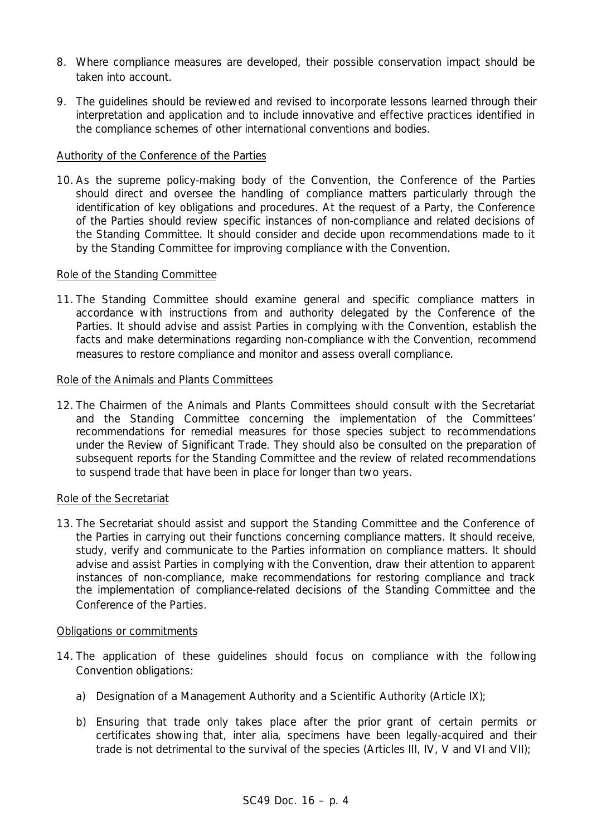- 8. Where compliance measures are developed, their possible conservation impact should be taken into account.
- 9. The guidelines should be reviewed and revised to incorporate lessons learned through their interpretation and application and to include innovative and effective practices identified in the compliance schemes of other international conventions and bodies.

## Authority of the Conference of the Parties

10. As the supreme policy-making body of the Convention, the Conference of the Parties should direct and oversee the handling of compliance matters particularly through the identification of key obligations and procedures. At the request of a Party, the Conference of the Parties should review specific instances of non-compliance and related decisions of the Standing Committee. It should consider and decide upon recommendations made to it by the Standing Committee for improving compliance with the Convention.

### Role of the Standing Committee

11. The Standing Committee should examine general and specific compliance matters in accordance with instructions from and authority delegated by the Conference of the Parties. It should advise and assist Parties in complying with the Convention, establish the facts and make determinations regarding non-compliance with the Convention, recommend measures to restore compliance and monitor and assess overall compliance.

### Role of the Animals and Plants Committees

12. The Chairmen of the Animals and Plants Committees should consult with the Secretariat and the Standing Committee concerning the implementation of the Committees' recommendations for remedial measures for those species subject to recommendations under the Review of Significant Trade. They should also be consulted on the preparation of subsequent reports for the Standing Committee and the review of related recommendations to suspend trade that have been in place for longer than two years.

### Role of the Secretariat

13. The Secretariat should assist and support the Standing Committee and the Conference of the Parties in carrying out their functions concerning compliance matters. It should receive, study, verify and communicate to the Parties information on compliance matters. It should advise and assist Parties in complying with the Convention, draw their attention to apparent instances of non-compliance, make recommendations for restoring compliance and track the implementation of compliance-related decisions of the Standing Committee and the Conference of the Parties.

### Obligations or commitments

- 14. The application of these guidelines should focus on compliance with the following Convention obligations:
	- a) Designation of a Management Authority and a Scientific Authority (Article IX);
	- b) Ensuring that trade only takes place after the prior grant of certain permits or certificates showing that, *inter alia*, specimens have been legally-acquired and their trade is not detrimental to the survival of the species (Articles III, IV, V and VI and VII);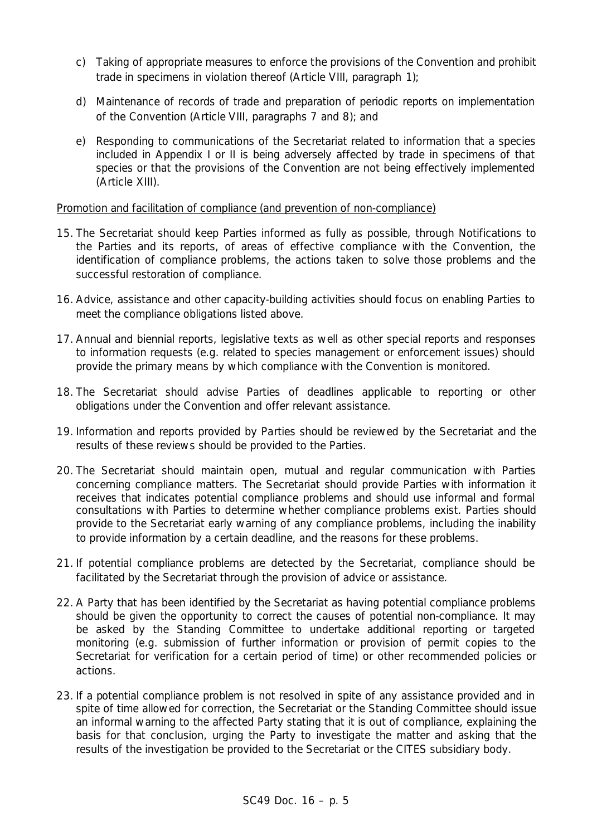- c) Taking of appropriate measures to enforce the provisions of the Convention and prohibit trade in specimens in violation thereof (Article VIII, paragraph 1);
- d) Maintenance of records of trade and preparation of periodic reports on implementation of the Convention (Article VIII, paragraphs 7 and 8); and
- e) Responding to communications of the Secretariat related to information that a species included in Appendix I or II is being adversely affected by trade in specimens of that species or that the provisions of the Convention are not being effectively implemented (Article XIII).

## Promotion and facilitation of compliance (and prevention of non-compliance)

- 15. The Secretariat should keep Parties informed as fully as possible, through Notifications to the Parties and its reports, of areas of effective compliance with the Convention, the identification of compliance problems, the actions taken to solve those problems and the successful restoration of compliance.
- 16. Advice, assistance and other capacity-building activities should focus on enabling Parties to meet the compliance obligations listed above.
- 17. Annual and biennial reports, legislative texts as well as other special reports and responses to information requests (e.g. related to species management or enforcement issues) should provide the primary means by which compliance with the Convention is monitored.
- 18. The Secretariat should advise Parties of deadlines applicable to reporting or other obligations under the Convention and offer relevant assistance.
- 19. Information and reports provided by Parties should be reviewed by the Secretariat and the results of these reviews should be provided to the Parties.
- 20. The Secretariat should maintain open, mutual and regular communication with Parties concerning compliance matters. The Secretariat should provide Parties with information it receives that indicates potential compliance problems and should use informal and formal consultations with Parties to determine whether compliance problems exist. Parties should provide to the Secretariat early warning of any compliance problems, including the inability to provide information by a certain deadline, and the reasons for these problems.
- 21. If potential compliance problems are detected by the Secretariat, compliance should be facilitated by the Secretariat through the provision of advice or assistance.
- 22. A Party that has been identified by the Secretariat as having potential compliance problems should be given the opportunity to correct the causes of potential non-compliance. It may be asked by the Standing Committee to undertake additional reporting or targeted monitoring (e.g. submission of further information or provision of permit copies to the Secretariat for verification for a certain period of time) or other recommended policies or actions.
- 23. If a potential compliance problem is not resolved in spite of any assistance provided and in spite of time allowed for correction, the Secretariat or the Standing Committee should issue an informal warning to the affected Party stating that it is out of compliance, explaining the basis for that conclusion, urging the Party to investigate the matter and asking that the results of the investigation be provided to the Secretariat or the CITES subsidiary body.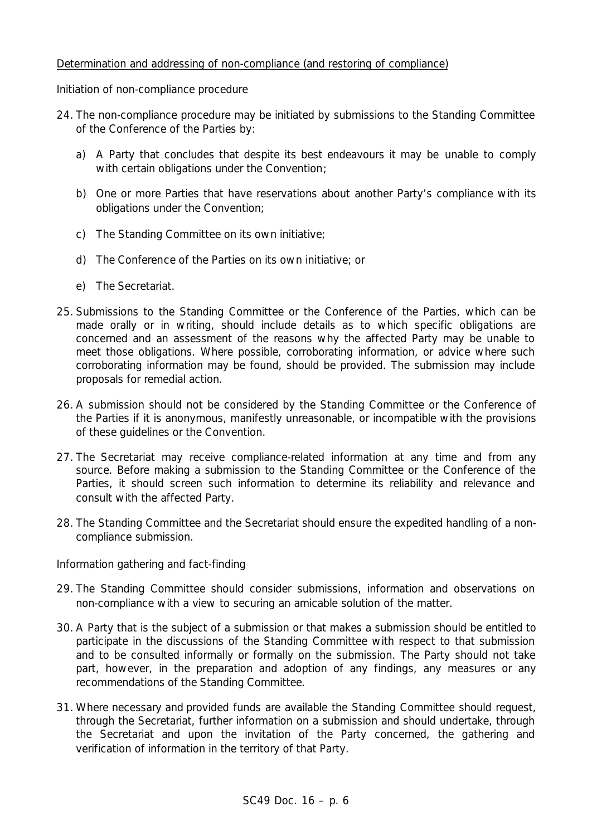## Determination and addressing of non-compliance (and restoring of compliance)

### *Initiation of non-compliance procedure*

- 24. The non-compliance procedure may be initiated by submissions to the Standing Committee of the Conference of the Parties by:
	- a) A Party that concludes that despite its best endeavours it may be unable to comply with certain obligations under the Convention;
	- b) One or more Parties that have reservations about another Party's compliance with its obligations under the Convention;
	- c) The Standing Committee on its own initiative;
	- d) The Conference of the Parties on its own initiative; or
	- e) The Secretariat.
- 25. Submissions to the Standing Committee or the Conference of the Parties, which can be made orally or in writing, should include details as to which specific obligations are concerned and an assessment of the reasons why the affected Party may be unable to meet those obligations. Where possible, corroborating information, or advice where such corroborating information may be found, should be provided. The submission may include proposals for remedial action.
- 26. A submission should not be considered by the Standing Committee or the Conference of the Parties if it is anonymous, manifestly unreasonable, or incompatible with the provisions of these guidelines or the Convention.
- 27. The Secretariat may receive compliance-related information at any time and from any source. Before making a submission to the Standing Committee or the Conference of the Parties, it should screen such information to determine its reliability and relevance and consult with the affected Party.
- 28. The Standing Committee and the Secretariat should ensure the expedited handling of a noncompliance submission.

### *Information gathering and fact-finding*

- 29. The Standing Committee should consider submissions, information and observations on non-compliance with a view to securing an amicable solution of the matter.
- 30. A Party that is the subject of a submission or that makes a submission should be entitled to participate in the discussions of the Standing Committee with respect to that submission and to be consulted informally or formally on the submission. The Party should not take part, however, in the preparation and adoption of any findings, any measures or any recommendations of the Standing Committee.
- 31. Where necessary and provided funds are available the Standing Committee should request, through the Secretariat, further information on a submission and should undertake, through the Secretariat and upon the invitation of the Party concerned, the gathering and verification of information in the territory of that Party.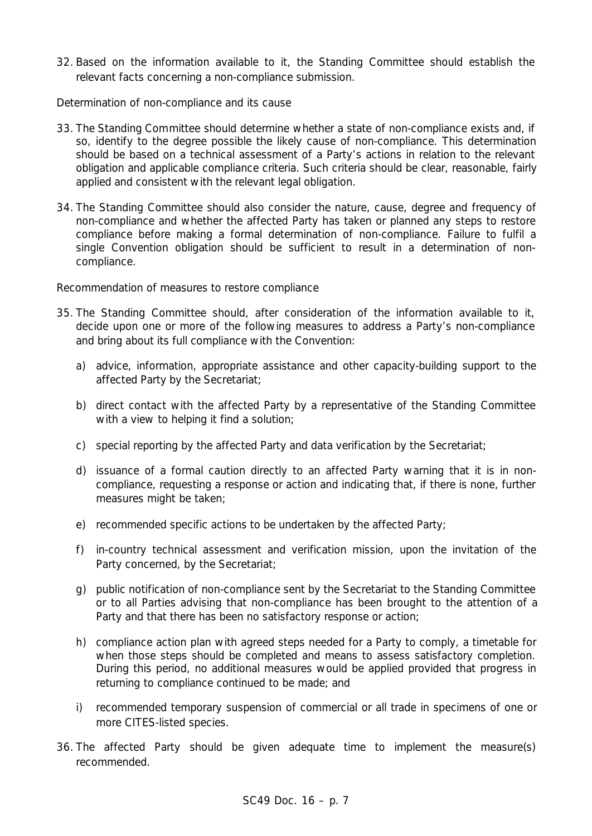32. Based on the information available to it, the Standing Committee should establish the relevant facts concerning a non-compliance submission.

## *Determination of non-compliance and its cause*

- 33. The Standing Committee should determine whether a state of non-compliance exists and, if so, identify to the degree possible the likely cause of non-compliance. This determination should be based on a technical assessment of a Party's actions in relation to the relevant obligation and applicable compliance criteria. Such criteria should be clear, reasonable, fairly applied and consistent with the relevant legal obligation.
- 34. The Standing Committee should also consider the nature, cause, degree and frequency of non-compliance and whether the affected Party has taken or planned any steps to restore compliance before making a formal determination of non-compliance. Failure to fulfil a single Convention obligation should be sufficient to result in a determination of noncompliance.

## *Recommendation of measures to restore compliance*

- 35. The Standing Committee should, after consideration of the information available to it, decide upon one or more of the following measures to address a Party's non-compliance and bring about its full compliance with the Convention:
	- a) advice, information, appropriate assistance and other capacity-building support to the affected Party by the Secretariat;
	- b) direct contact with the affected Party by a representative of the Standing Committee with a view to helping it find a solution;
	- c) special reporting by the affected Party and data verification by the Secretariat;
	- d) issuance of a formal caution directly to an affected Party warning that it is in noncompliance, requesting a response or action and indicating that, if there is none, further measures might be taken;
	- e) recommended specific actions to be undertaken by the affected Party;
	- f) in-country technical assessment and verification mission, upon the invitation of the Party concerned, by the Secretariat;
	- g) public notification of non-compliance sent by the Secretariat to the Standing Committee or to all Parties advising that non-compliance has been brought to the attention of a Party and that there has been no satisfactory response or action;
	- h) compliance action plan with agreed steps needed for a Party to comply, a timetable for when those steps should be completed and means to assess satisfactory completion. During this period, no additional measures would be applied provided that progress in returning to compliance continued to be made; and
	- i) recommended temporary suspension of commercial or all trade in specimens of one or more CITES-listed species.
- 36. The affected Party should be given adequate time to implement the measure(s) recommended.